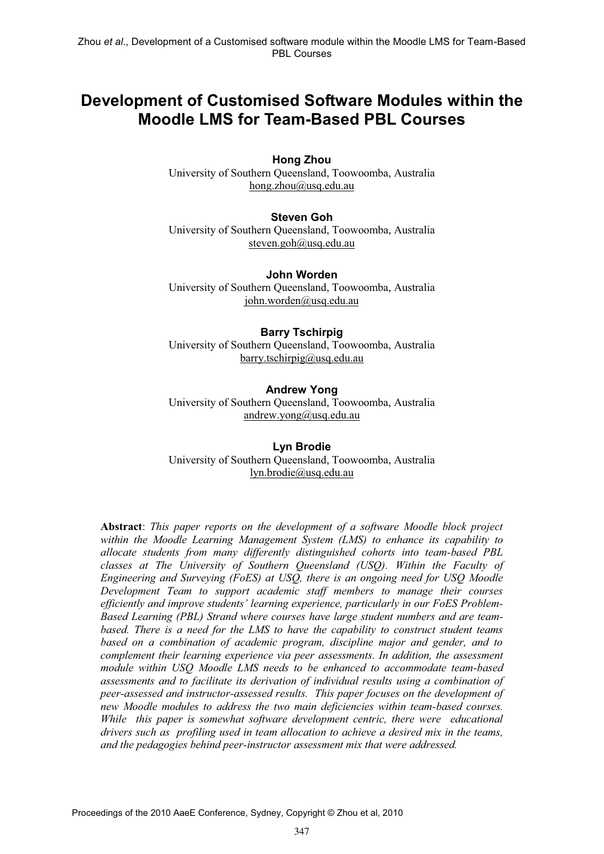# **Development of Customised Software Modules within the Moodle LMS for Team-Based PBL Courses**

#### **Hong Zhou**

University of Southern Queensland, Toowoomba, Australia hong.zhou@usq.edu.au

#### **Steven Goh**

University of Southern Queensland, Toowoomba, Australia steven.goh@usq.edu.au

**John Worden**  University of Southern Queensland, Toowoomba, Australia john.worden@usq.edu.au

#### **Barry Tschirpig**

University of Southern Queensland, Toowoomba, Australia barry.tschirpig@usq.edu.au

#### **Andrew Yong**

University of Southern Queensland, Toowoomba, Australia andrew.yong@usq.edu.au

#### **Lyn Brodie**  University of Southern Queensland, Toowoomba, Australia lyn.brodie@usq.edu.au

**Abstract**: *This paper reports on the development of a software Moodle block project within the Moodle Learning Management System (LMS) to enhance its capability to allocate students from many differently distinguished cohorts into team-based PBL classes at The University of Southern Queensland (USQ). Within the Faculty of Engineering and Surveying (FoES) at USQ, there is an ongoing need for USQ Moodle Development Team to support academic staff members to manage their courses efficiently and improve students' learning experience, particularly in our FoES Problem-Based Learning (PBL) Strand where courses have large student numbers and are teambased. There is a need for the LMS to have the capability to construct student teams based on a combination of academic program, discipline major and gender, and to complement their learning experience via peer assessments. In addition, the assessment module within USQ Moodle LMS needs to be enhanced to accommodate team-based assessments and to facilitate its derivation of individual results using a combination of peer-assessed and instructor-assessed results. This paper focuses on the development of new Moodle modules to address the two main deficiencies within team-based courses. While this paper is somewhat software development centric, there were educational drivers such as profiling used in team allocation to achieve a desired mix in the teams, and the pedagogies behind peer-instructor assessment mix that were addressed.*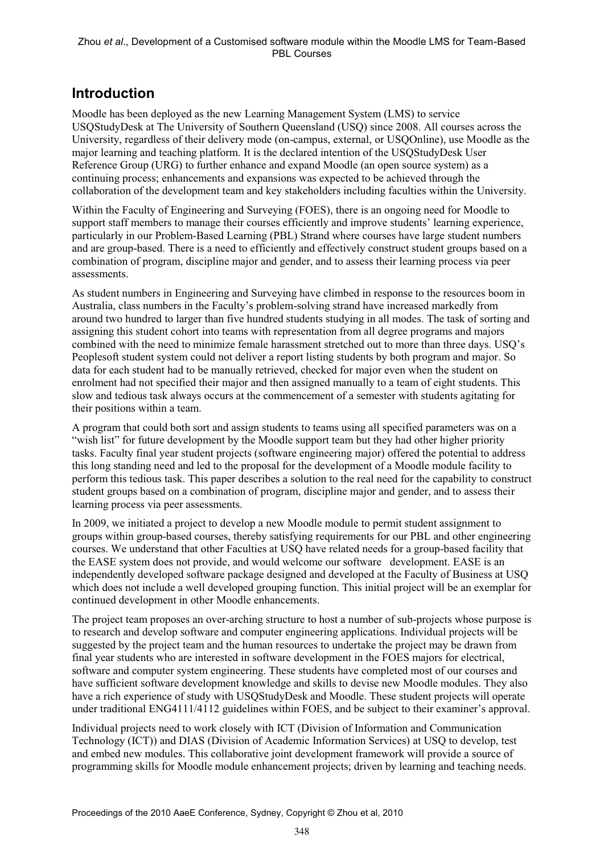# **Introduction**

Moodle has been deployed as the new Learning Management System (LMS) to service USQStudyDesk at The University of Southern Queensland (USQ) since 2008. All courses across the University, regardless of their delivery mode (on-campus, external, or USQOnline), use Moodle as the major learning and teaching platform. It is the declared intention of the USQStudyDesk User Reference Group (URG) to further enhance and expand Moodle (an open source system) as a continuing process; enhancements and expansions was expected to be achieved through the collaboration of the development team and key stakeholders including faculties within the University.

Within the Faculty of Engineering and Surveying (FOES), there is an ongoing need for Moodle to support staff members to manage their courses efficiently and improve students' learning experience, particularly in our Problem-Based Learning (PBL) Strand where courses have large student numbers and are group-based. There is a need to efficiently and effectively construct student groups based on a combination of program, discipline major and gender, and to assess their learning process via peer assessments.

As student numbers in Engineering and Surveying have climbed in response to the resources boom in Australia, class numbers in the Faculty's problem-solving strand have increased markedly from around two hundred to larger than five hundred students studying in all modes. The task of sorting and assigning this student cohort into teams with representation from all degree programs and majors combined with the need to minimize female harassment stretched out to more than three days. USQ's Peoplesoft student system could not deliver a report listing students by both program and major. So data for each student had to be manually retrieved, checked for major even when the student on enrolment had not specified their major and then assigned manually to a team of eight students. This slow and tedious task always occurs at the commencement of a semester with students agitating for their positions within a team.

A program that could both sort and assign students to teams using all specified parameters was on a "wish list" for future development by the Moodle support team but they had other higher priority tasks. Faculty final year student projects (software engineering major) offered the potential to address this long standing need and led to the proposal for the development of a Moodle module facility to perform this tedious task. This paper describes a solution to the real need for the capability to construct student groups based on a combination of program, discipline major and gender, and to assess their learning process via peer assessments.

In 2009, we initiated a project to develop a new Moodle module to permit student assignment to groups within group-based courses, thereby satisfying requirements for our PBL and other engineering courses. We understand that other Faculties at USQ have related needs for a group-based facility that the EASE system does not provide, and would welcome our software development. EASE is an independently developed software package designed and developed at the Faculty of Business at USQ which does not include a well developed grouping function. This initial project will be an exemplar for continued development in other Moodle enhancements.

The project team proposes an over-arching structure to host a number of sub-projects whose purpose is to research and develop software and computer engineering applications. Individual projects will be suggested by the project team and the human resources to undertake the project may be drawn from final year students who are interested in software development in the FOES majors for electrical, software and computer system engineering. These students have completed most of our courses and have sufficient software development knowledge and skills to devise new Moodle modules. They also have a rich experience of study with USQStudyDesk and Moodle. These student projects will operate under traditional ENG4111/4112 guidelines within FOES, and be subject to their examiner's approval.

Individual projects need to work closely with ICT (Division of Information and Communication Technology (ICT)) and DIAS (Division of Academic Information Services) at USQ to develop, test and embed new modules. This collaborative joint development framework will provide a source of programming skills for Moodle module enhancement projects; driven by learning and teaching needs.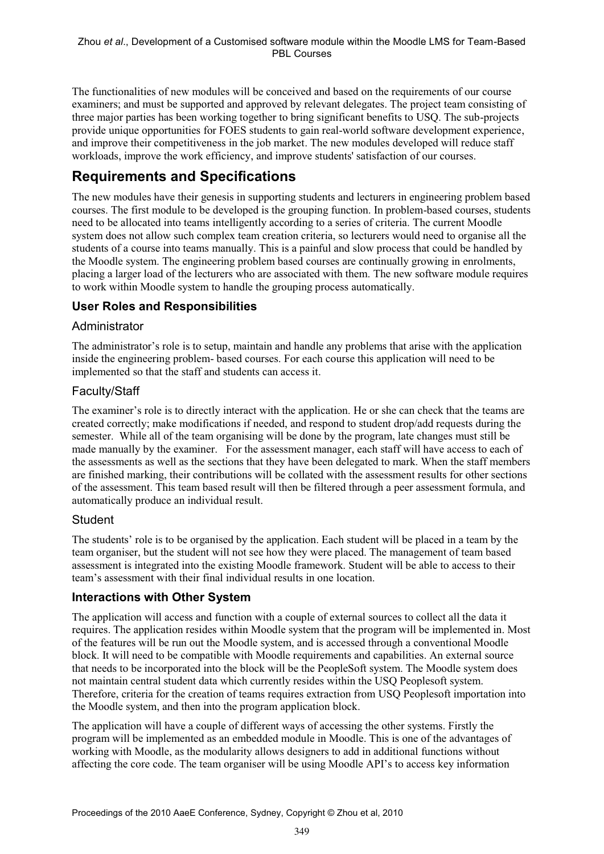The functionalities of new modules will be conceived and based on the requirements of our course examiners; and must be supported and approved by relevant delegates. The project team consisting of three major parties has been working together to bring significant benefits to USQ. The sub-projects provide unique opportunities for FOES students to gain real-world software development experience, and improve their competitiveness in the job market. The new modules developed will reduce staff workloads, improve the work efficiency, and improve students' satisfaction of our courses.

# **Requirements and Specifications**

The new modules have their genesis in supporting students and lecturers in engineering problem based courses. The first module to be developed is the grouping function. In problem-based courses, students need to be allocated into teams intelligently according to a series of criteria. The current Moodle system does not allow such complex team creation criteria, so lecturers would need to organise all the students of a course into teams manually. This is a painful and slow process that could be handled by the Moodle system. The engineering problem based courses are continually growing in enrolments, placing a larger load of the lecturers who are associated with them. The new software module requires to work within Moodle system to handle the grouping process automatically.

## **User Roles and Responsibilities**

## Administrator

The administrator's role is to setup, maintain and handle any problems that arise with the application inside the engineering problem- based courses. For each course this application will need to be implemented so that the staff and students can access it.

## Faculty/Staff

The examiner's role is to directly interact with the application. He or she can check that the teams are created correctly; make modifications if needed, and respond to student drop/add requests during the semester. While all of the team organising will be done by the program, late changes must still be made manually by the examiner. For the assessment manager, each staff will have access to each of the assessments as well as the sections that they have been delegated to mark. When the staff members are finished marking, their contributions will be collated with the assessment results for other sections of the assessment. This team based result will then be filtered through a peer assessment formula, and automatically produce an individual result.

### **Student**

The students' role is to be organised by the application. Each student will be placed in a team by the team organiser, but the student will not see how they were placed. The management of team based assessment is integrated into the existing Moodle framework. Student will be able to access to their team's assessment with their final individual results in one location.

### **Interactions with Other System**

The application will access and function with a couple of external sources to collect all the data it requires. The application resides within Moodle system that the program will be implemented in. Most of the features will be run out the Moodle system, and is accessed through a conventional Moodle block. It will need to be compatible with Moodle requirements and capabilities. An external source that needs to be incorporated into the block will be the PeopleSoft system. The Moodle system does not maintain central student data which currently resides within the USQ Peoplesoft system. Therefore, criteria for the creation of teams requires extraction from USQ Peoplesoft importation into the Moodle system, and then into the program application block.

The application will have a couple of different ways of accessing the other systems. Firstly the program will be implemented as an embedded module in Moodle. This is one of the advantages of working with Moodle, as the modularity allows designers to add in additional functions without affecting the core code. The team organiser will be using Moodle API's to access key information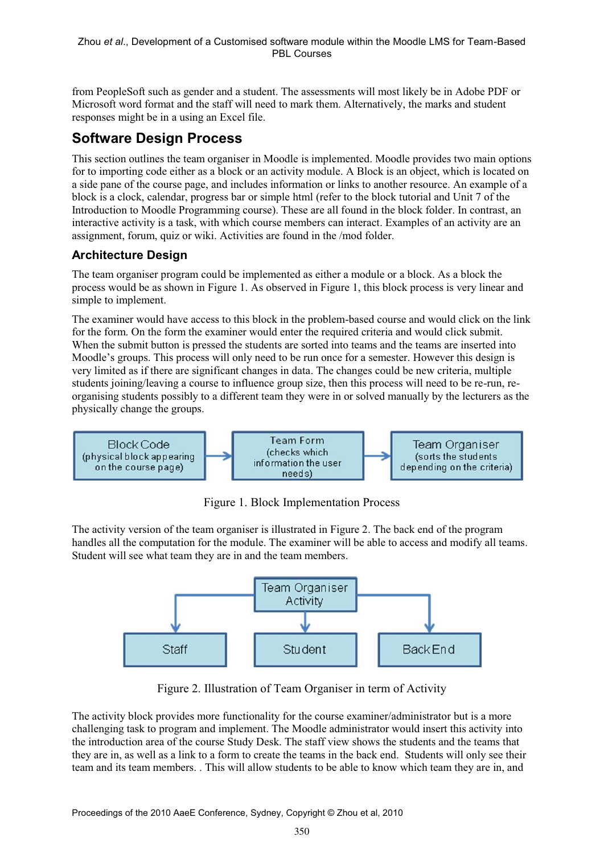from PeopleSoft such as gender and a student. The assessments will most likely be in Adobe PDF or Microsoft word format and the staff will need to mark them. Alternatively, the marks and student responses might be in a using an Excel file.

# **Software Design Process**

This section outlines the team organiser in Moodle is implemented. Moodle provides two main options for to importing code either as a block or an activity module. A Block is an object, which is located on a side pane of the course page, and includes information or links to another resource. An example of a block is a clock, calendar, progress bar or simple html (refer to the block tutorial and Unit 7 of the Introduction to Moodle Programming course). These are all found in the block folder. In contrast, an interactive activity is a task, with which course members can interact. Examples of an activity are an assignment, forum, quiz or wiki. Activities are found in the /mod folder.

# **Architecture Design**

The team organiser program could be implemented as either a module or a block. As a block the process would be as shown in Figure 1. As observed in Figure 1, this block process is very linear and simple to implement.

The examiner would have access to this block in the problem-based course and would click on the link for the form. On the form the examiner would enter the required criteria and would click submit. When the submit button is pressed the students are sorted into teams and the teams are inserted into Moodle's groups. This process will only need to be run once for a semester. However this design is very limited as if there are significant changes in data. The changes could be new criteria, multiple students joining/leaving a course to influence group size, then this process will need to be re-run, reorganising students possibly to a different team they were in or solved manually by the lecturers as the physically change the groups.



Figure 1. Block Implementation Process

The activity version of the team organiser is illustrated in Figure 2. The back end of the program handles all the computation for the module. The examiner will be able to access and modify all teams. Student will see what team they are in and the team members.



Figure 2. Illustration of Team Organiser in term of Activity

The activity block provides more functionality for the course examiner/administrator but is a more challenging task to program and implement. The Moodle administrator would insert this activity into the introduction area of the course Study Desk. The staff view shows the students and the teams that they are in, as well as a link to a form to create the teams in the back end. Students will only see their team and its team members. . This will allow students to be able to know which team they are in, and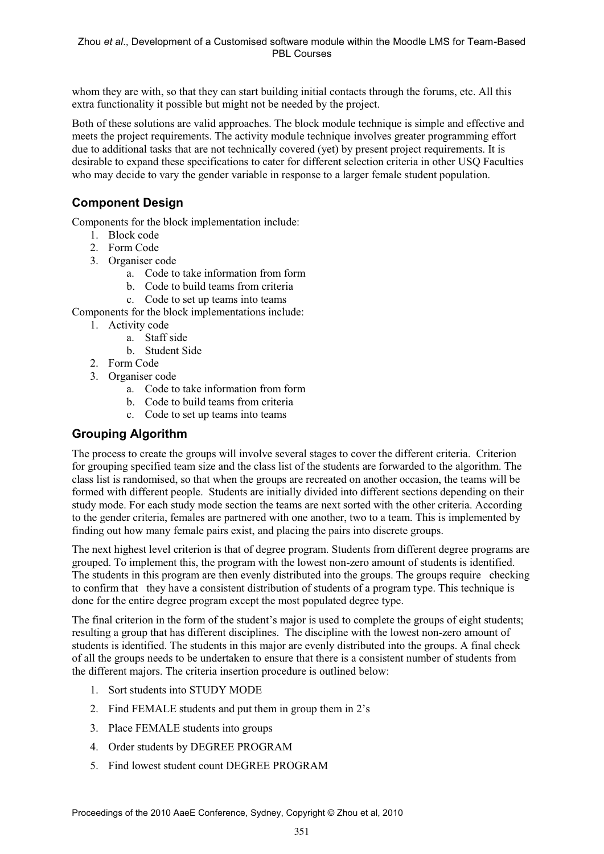whom they are with, so that they can start building initial contacts through the forums, etc. All this extra functionality it possible but might not be needed by the project.

Both of these solutions are valid approaches. The block module technique is simple and effective and meets the project requirements. The activity module technique involves greater programming effort due to additional tasks that are not technically covered (yet) by present project requirements. It is desirable to expand these specifications to cater for different selection criteria in other USQ Faculties who may decide to vary the gender variable in response to a larger female student population.

# **Component Design**

Components for the block implementation include:

- 1. Block code
- 2. Form Code
- 3. Organiser code
	- a. Code to take information from form
	- b. Code to build teams from criteria
	- c. Code to set up teams into teams

Components for the block implementations include:

- 1. Activity code
	- a. Staff side
	- b. Student Side
- 2. Form Code
- 3. Organiser code
	- a. Code to take information from form
	- b. Code to build teams from criteria
	- c. Code to set up teams into teams

### **Grouping Algorithm**

The process to create the groups will involve several stages to cover the different criteria. Criterion for grouping specified team size and the class list of the students are forwarded to the algorithm. The class list is randomised, so that when the groups are recreated on another occasion, the teams will be formed with different people. Students are initially divided into different sections depending on their study mode. For each study mode section the teams are next sorted with the other criteria. According to the gender criteria, females are partnered with one another, two to a team. This is implemented by finding out how many female pairs exist, and placing the pairs into discrete groups.

The next highest level criterion is that of degree program. Students from different degree programs are grouped. To implement this, the program with the lowest non-zero amount of students is identified. The students in this program are then evenly distributed into the groups. The groups require checking to confirm that they have a consistent distribution of students of a program type. This technique is done for the entire degree program except the most populated degree type.

The final criterion in the form of the student's major is used to complete the groups of eight students; resulting a group that has different disciplines. The discipline with the lowest non-zero amount of students is identified. The students in this major are evenly distributed into the groups. A final check of all the groups needs to be undertaken to ensure that there is a consistent number of students from the different majors. The criteria insertion procedure is outlined below:

- 1. Sort students into STUDY MODE
- 2. Find FEMALE students and put them in group them in 2's
- 3. Place FEMALE students into groups
- 4. Order students by DEGREE PROGRAM
- 5. Find lowest student count DEGREE PROGRAM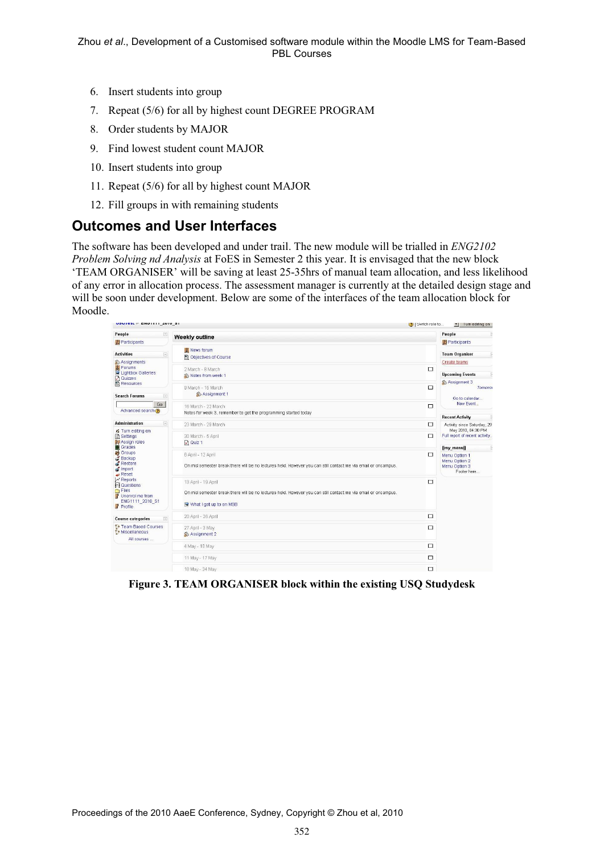- 6. Insert students into group
- 7. Repeat (5/6) for all by highest count DEGREE PROGRAM
- 8. Order students by MAJOR
- 9. Find lowest student count MAJOR
- 10. Insert students into group
- 11. Repeat (5/6) for all by highest count MAJOR
- 12. Fill groups in with remaining students

## **Outcomes and User Interfaces**

The software has been developed and under trail. The new module will be trialled in *ENG2102 Problem Solving nd Analysis* at FoES in Semester 2 this year. It is envisaged that the new block 'TEAM ORGANISER' will be saving at least 25-35hrs of manual team allocation, and less likelihood of any error in allocation process. The assessment manager is currently at the detailed design stage and will be soon under development. Below are some of the interfaces of the team allocation block for Moodle.

| VOUTESLE ENVITTLE AVIV OF                                                                                                                            |                       |                                                                                                                                                                 | (?)   Switch role to | vi lum editing on                                                   |                 |
|------------------------------------------------------------------------------------------------------------------------------------------------------|-----------------------|-----------------------------------------------------------------------------------------------------------------------------------------------------------------|----------------------|---------------------------------------------------------------------|-----------------|
| People                                                                                                                                               | E                     | Weekly outline                                                                                                                                                  |                      | People                                                              | F               |
| Participants                                                                                                                                         |                       |                                                                                                                                                                 |                      | Participants                                                        |                 |
| <b>Activities</b>                                                                                                                                    | $\Xi$                 | Wews forum<br>图 Objectives of Course                                                                                                                            |                      | <b>Team Organiser</b>                                               | E               |
| <b>&amp; Assignments</b><br>Forums<br>Lightbox Galleries                                                                                             |                       | 2 March - 8 March<br>Notes from week 1                                                                                                                          | $\Box$               | Create teams<br><b>Upcoming Events</b>                              | E               |
| Quizzes<br>El Resources<br><b>Search Forums</b>                                                                                                      | $\boxed{-}$           | 9 March - 15 March<br>Assignment 1                                                                                                                              | $\Box$               | Assignment 3<br>Go to calendar                                      | <b>Tomorrow</b> |
| Advanced search ?                                                                                                                                    | Go                    | 16 March - 22 March<br>Notes for week 3. remember to get the programming started today                                                                          | $\Box$               | New Event<br><b>Recent Activity</b>                                 |                 |
| <b>Administration</b>                                                                                                                                | $\boxed{\phantom{1}}$ | 23 March - 29 March                                                                                                                                             | □                    | Activity since Saturday, 29                                         |                 |
| ₹ Turn editing on<br><b>n</b> Settings<br><b>SO</b> Assign roles<br>Grades<br><b>in</b> Groups<br>Backup<br>Restore<br>Import<br>$\rightarrow$ Reset |                       | 30 March - 5 April<br>$\Box$ Quiz 1                                                                                                                             | $\Box$               | May 2010, 04:30 PM<br>Full report of recent activity<br>[[my_menu]] | E               |
|                                                                                                                                                      |                       | 6 April - 12 April<br>On mid semester break there will be no lectures held. However you can still contact me via email or oncampus.                             | □                    | Menu Option 1<br>Menu Option 2<br>Menu Option 3<br>Footer here      |                 |
| $\nu$ Reports<br><b>M</b> Questions<br>Files<br>Unenrol me from<br>ENG1111_2010_S1<br>Profile                                                        |                       | 13 April - 19 April<br>On mid semester break there will be no lectures held. However you can still contact me via email or oncampus.<br>What I got up to on MSB | $\Box$               |                                                                     |                 |
| <b>Course categories</b>                                                                                                                             | $\Box$                | 20 April - 26 April                                                                                                                                             | $\Box$               |                                                                     |                 |
| <sup>2</sup> Team Based Courses<br>Miscellaneous<br>All courses                                                                                      |                       | 27 April - 3 May<br><b>Assignment 2</b>                                                                                                                         | 口                    |                                                                     |                 |
|                                                                                                                                                      |                       | 4 May - 10 May                                                                                                                                                  | $\Box$               |                                                                     |                 |
|                                                                                                                                                      |                       | 11 May - 17 May                                                                                                                                                 | □                    |                                                                     |                 |
|                                                                                                                                                      |                       | 18 May - 24 May                                                                                                                                                 | $\Box$               |                                                                     |                 |

**Figure 3. TEAM ORGANISER block within the existing USQ Studydesk**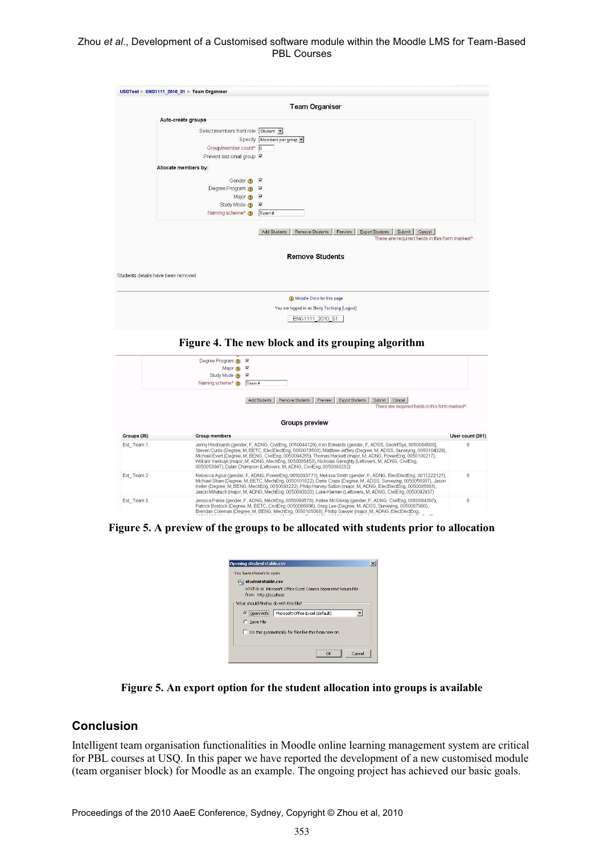#### Zhou *et al*., Development of a Customised software module within the Moodle LMS for Team-Based PBL Courses

|                                    | <b>Team Organiser</b>                                                                                                             |
|------------------------------------|-----------------------------------------------------------------------------------------------------------------------------------|
| Auto-create groups                 |                                                                                                                                   |
| Select members from role Student - |                                                                                                                                   |
|                                    | Specify Members per group                                                                                                         |
| Group/member count* 8              |                                                                                                                                   |
| Prevent last small group M         |                                                                                                                                   |
|                                    |                                                                                                                                   |
| Allocate members by:               |                                                                                                                                   |
| Gender ? <b>⊽</b>                  |                                                                                                                                   |
| Degree Program ? <b>I</b>          |                                                                                                                                   |
| Major $\odot$ $\triangledown$      |                                                                                                                                   |
| Study Mode ? <b>⊽</b>              |                                                                                                                                   |
| Naming scheme* @                   | Team #                                                                                                                            |
|                                    | Export Students<br>Submit Cancel<br>Add Students<br>Remove Students<br>Preview<br>There are required fields in this form marked*. |
|                                    | <b>Remove Students</b>                                                                                                            |
| Students details have been removed |                                                                                                                                   |
|                                    |                                                                                                                                   |
|                                    | Moodle Docs for this page                                                                                                         |

ENG1111\_2010\_S1

#### **Figure 4. The new block and its grouping algorithm**

|             | Degree Program ? I                                                                                                                                                                                                                                                                                                                                                                                                                                                                                                                           |                                                                                                                                                                                                                                                                                                                                                                                                                                                                         |                  |
|-------------|----------------------------------------------------------------------------------------------------------------------------------------------------------------------------------------------------------------------------------------------------------------------------------------------------------------------------------------------------------------------------------------------------------------------------------------------------------------------------------------------------------------------------------------------|-------------------------------------------------------------------------------------------------------------------------------------------------------------------------------------------------------------------------------------------------------------------------------------------------------------------------------------------------------------------------------------------------------------------------------------------------------------------------|------------------|
|             | Major $\odot$                                                                                                                                                                                                                                                                                                                                                                                                                                                                                                                                | $\overline{\mathbf{v}}$                                                                                                                                                                                                                                                                                                                                                                                                                                                 |                  |
|             | Study Mode @                                                                                                                                                                                                                                                                                                                                                                                                                                                                                                                                 | $\overline{\mathbf{v}}$                                                                                                                                                                                                                                                                                                                                                                                                                                                 |                  |
|             | Naming scheme* n                                                                                                                                                                                                                                                                                                                                                                                                                                                                                                                             | Team#                                                                                                                                                                                                                                                                                                                                                                                                                                                                   |                  |
|             |                                                                                                                                                                                                                                                                                                                                                                                                                                                                                                                                              | Remove Students<br>Export Students<br>Add Students<br>Preview<br>Cancel<br>Submit<br>There are required fields in this form marked*<br><b>Groups preview</b>                                                                                                                                                                                                                                                                                                            |                  |
| Groups (35) | <b>Group members</b>                                                                                                                                                                                                                                                                                                                                                                                                                                                                                                                         |                                                                                                                                                                                                                                                                                                                                                                                                                                                                         | User count (281) |
| Ext Team 1  | Jenny Hindmarsh (gender, F, ADNG, CivilEng, 0050044129), Kim Edwards (gender, F, ADSS, GeolnfSys, 0050084509),<br>Steven Curtis (Degree, M. BETC, ElecElectEng, 0050073503), Matthew Jeffery (Degree, M. ADSS, Surveying, 0050104329),<br>Michael Evert (Degree, M. BENG, CivilEng, 0050094265), Thomas Hackett (major, M, ADNG, PowerEng, 0050100217),<br>William Vankuyk (major, M, ADNG, MechEng, 0050085453), Nicholas Geraghty (Leftovers, M, ADNG, CivilEng,<br>0050053947), Dvlan Champion (Leftovers, M. ADNG, CivilEng, 0050093232) |                                                                                                                                                                                                                                                                                                                                                                                                                                                                         | 9                |
| Ext Team 2  |                                                                                                                                                                                                                                                                                                                                                                                                                                                                                                                                              | Rebecca Agius (gender, F. ADNG, PowerEng, 0050093771), Melissa Smith (gender, F. ADNG, ElecElectEng, 0011222127),<br>Michael Shaw (Degree, M, BETC, MechEng, 0050101822), Dane Craze (Degree, M, ADSS, Surveying, 0050056937), Jason<br>Keller (Degree, M, BENG, MechEng, 0050093222), Philip Harvey-Sutton (major, M, ADNG, ElecElectEng, 0050085883),<br>Jason Mihatsch (major, M, ADNG, MechEng, 0050093820), Luke Klemen (Leftovers, M, ADNG, CivilEng, 0050092937) | 8                |
| Ext Team 3  |                                                                                                                                                                                                                                                                                                                                                                                                                                                                                                                                              | Jessica Parke (gender, F, ADNG, MechEng, 0050099578), Kellee McGilway (gender, F, ADNG, CivilEng, 0050084397),<br>Patrick Bostock (Degree, M. BETC, CivilEng, 0050086806), Greg Lee (Degree, M. ADSS, Surveying, 0050087980),                                                                                                                                                                                                                                           | 8                |

**Figure 5. A preview of the groups to be allocated with students prior to allocation** 

| You have chosen to open                |                                                                |  |
|----------------------------------------|----------------------------------------------------------------|--|
| is) studentstable.csv                  |                                                                |  |
|                                        | which is a: Microsoft Office Excel Comma Separated Values File |  |
| from: http://localhost                 |                                                                |  |
| What should Firefox do with this file? |                                                                |  |
| C Open with                            | Microsoft Office Excel (default)                               |  |
| C Save File                            |                                                                |  |
|                                        | Do this automatically for files like this from now on.         |  |
|                                        |                                                                |  |

**Figure 5. An export option for the student allocation into groups is available** 

#### **Conclusion**

Intelligent team organisation functionalities in Moodle online learning management system are critical for PBL courses at USQ. In this paper we have reported the development of a new customised module (team organiser block) for Moodle as an example. The ongoing project has achieved our basic goals.